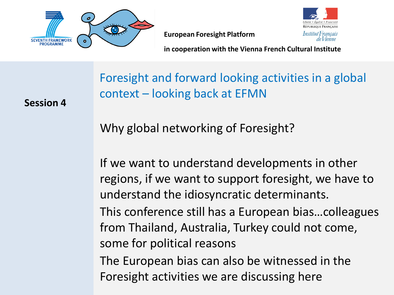



**in cooperation with the Vienna French Cultural Institute**

Foresight and forward looking activities in a global context – looking back at EFMN

Why global networking of Foresight?

If we want to understand developments in other regions, if we want to support foresight, we have to understand the idiosyncratic determinants. This conference still has a European bias…colleagues from Thailand, Australia, Turkey could not come, some for political reasons The European bias can also be witnessed in the Foresight activities we are discussing here

**Session 4**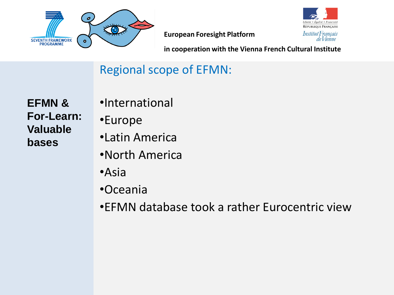



**in cooperation with the Vienna French Cultural Institute**

# Regional scope of EFMN:

**EFMN & For-Learn: Valuable bases**

- •International
- •Europe
- •Latin America
- •North America
- •Asia
- •Oceania
- •EFMN database took a rather Eurocentric view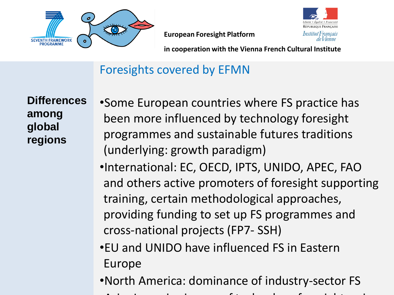



**in cooperation with the Vienna French Cultural Institute**

# Foresights covered by EFMN

**Differences among global regions**

- •Some European countries where FS practice has been more influenced by technology foresight programmes and sustainable futures traditions (underlying: growth paradigm)
	- •International: EC, OECD, IPTS, UNIDO, APEC, FAO and others active promoters of foresight supporting training, certain methodological approaches, providing funding to set up FS programmes and cross-national projects (FP7- SSH)
	- •EU and UNIDO have influenced FS in Eastern Europe
	- •North America: dominance of industry-sector FS •Asia: Japan is pioneer of technology foresight, using
		-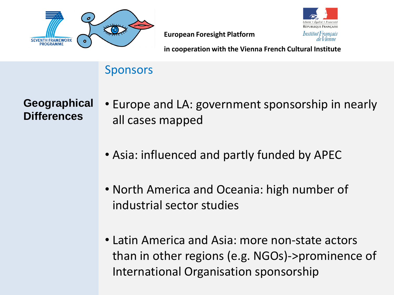



**in cooperation with the Vienna French Cultural Institute**

### Sponsors

- Europe and LA: government sponsorship in nearly all cases mapped
	- Asia: influenced and partly funded by APEC
	- North America and Oceania: high number of industrial sector studies
	- Latin America and Asia: more non-state actors than in other regions (e.g. NGOs)->prominence of International Organisation sponsorship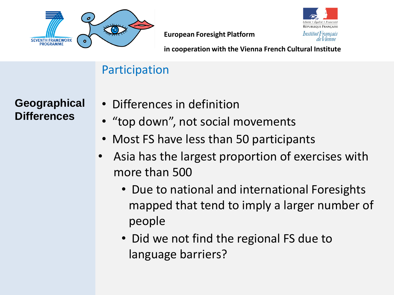



**in cooperation with the Vienna French Cultural Institute**

# Participation

- Differences in definition
- "top down", not social movements
- Most FS have less than 50 participants
- Asia has the largest proportion of exercises with more than 500
	- Due to national and international Foresights mapped that tend to imply a larger number of people
	- Did we not find the regional FS due to language barriers?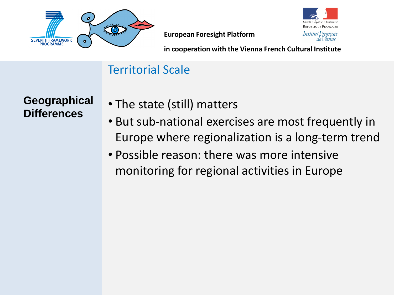



**in cooperation with the Vienna French Cultural Institute**

# Territorial Scale

- The state (still) matters
- But sub-national exercises are most frequently in Europe where regionalization is a long-term trend
- Possible reason: there was more intensive monitoring for regional activities in Europe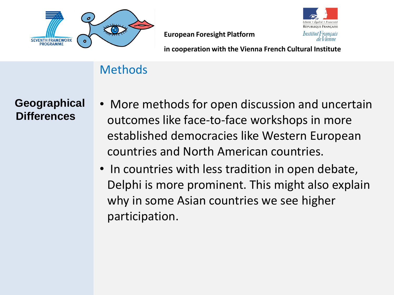



**in cooperation with the Vienna French Cultural Institute**

# **Methods**

- More methods for open discussion and uncertain outcomes like face-to-face workshops in more established democracies like Western European countries and North American countries.
- In countries with less tradition in open debate, Delphi is more prominent. This might also explain why in some Asian countries we see higher participation.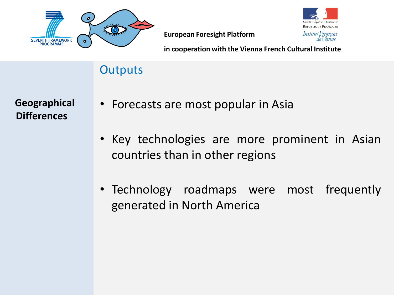



**in cooperation with the Vienna French Cultural Institute**

### **Outputs**

- Forecasts are most popular in Asia
- Key technologies are more prominent in Asian countries than in other regions
- Technology roadmaps were most frequently generated in North America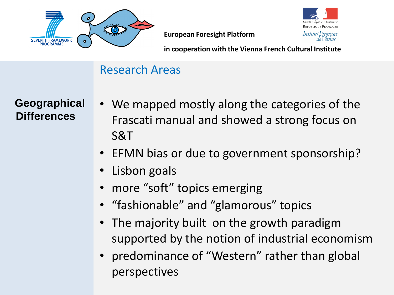



**in cooperation with the Vienna French Cultural Institute**

### Research Areas

- We mapped mostly along the categories of the Frascati manual and showed a strong focus on S&T
- EFMN bias or due to government sponsorship?
- Lisbon goals
- more "soft" topics emerging
- "fashionable" and "glamorous" topics
- The majority built on the growth paradigm supported by the notion of industrial economism
- predominance of "Western" rather than global perspectives